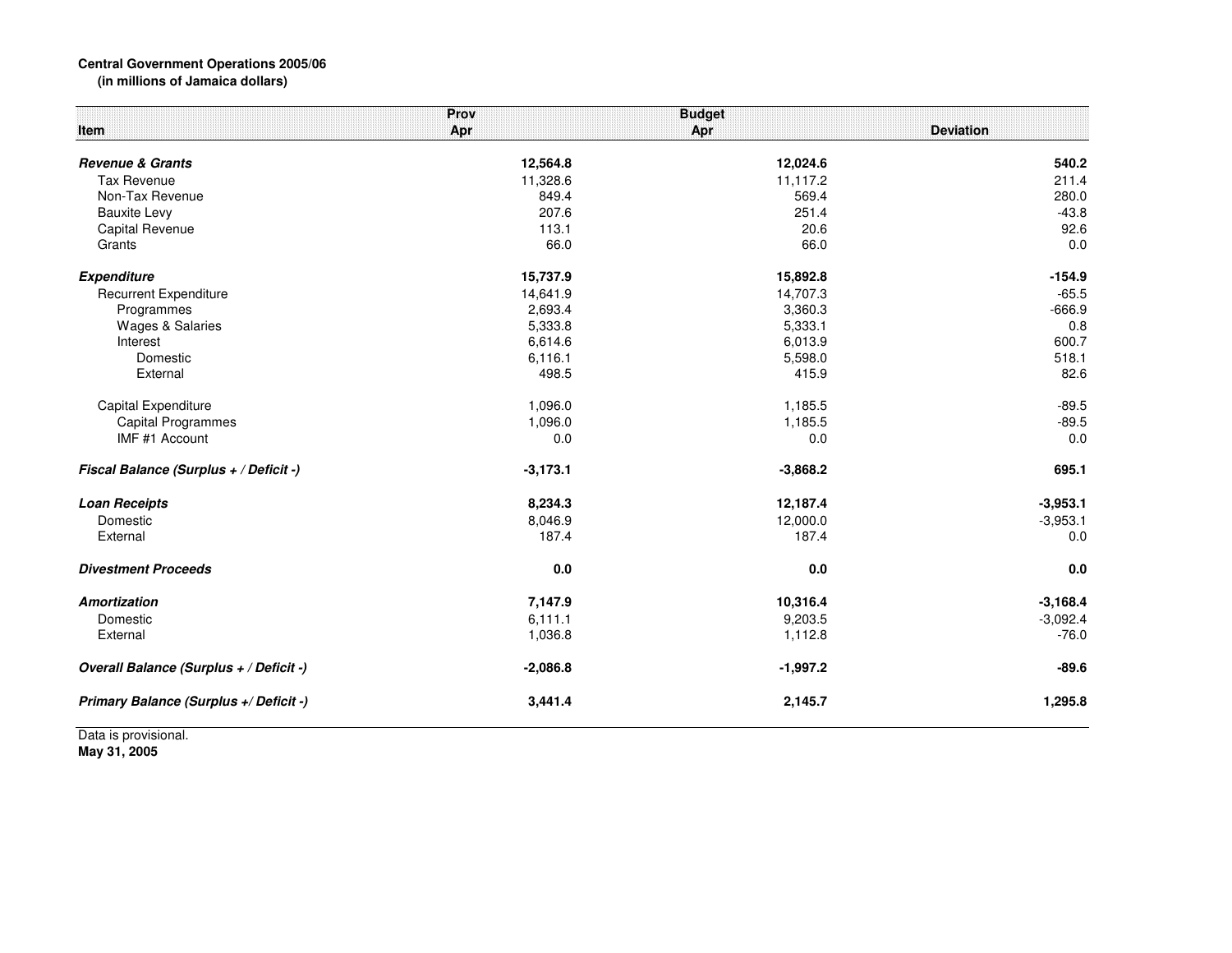## **Central Government Operations 2005/06 (in millions of Jamaica dollars)**

| Item                                    | Prov<br>Apr | <b>Budget</b><br>Apr | <b>Deviation</b> |
|-----------------------------------------|-------------|----------------------|------------------|
| <b>Revenue &amp; Grants</b>             | 12,564.8    | 12,024.6             | 540.2            |
| <b>Tax Revenue</b>                      | 11,328.6    | 11,117.2             | 211.4            |
| Non-Tax Revenue                         | 849.4       | 569.4                | 280.0            |
| <b>Bauxite Levy</b>                     | 207.6       | 251.4                | $-43.8$          |
| Capital Revenue                         | 113.1       | 20.6                 | 92.6             |
| Grants                                  | 66.0        | 66.0                 | 0.0              |
| <b>Expenditure</b>                      | 15,737.9    | 15,892.8             | $-154.9$         |
| <b>Recurrent Expenditure</b>            | 14,641.9    | 14,707.3             | $-65.5$          |
| Programmes                              | 2,693.4     | 3,360.3              | $-666.9$         |
| <b>Wages &amp; Salaries</b>             | 5,333.8     | 5,333.1              | 0.8              |
| Interest                                | 6,614.6     | 6,013.9              | 600.7            |
| Domestic                                | 6,116.1     | 5,598.0              | 518.1            |
| External                                | 498.5       | 415.9                | 82.6             |
| Capital Expenditure                     | 1,096.0     | 1,185.5              | $-89.5$          |
| <b>Capital Programmes</b>               | 1,096.0     | 1,185.5              | $-89.5$          |
| IMF #1 Account                          | 0.0         | 0.0                  | 0.0              |
| Fiscal Balance (Surplus + / Deficit -)  | $-3,173.1$  | $-3,868.2$           | 695.1            |
| <b>Loan Receipts</b>                    | 8,234.3     | 12,187.4             | $-3,953.1$       |
| Domestic                                | 8,046.9     | 12,000.0             | $-3,953.1$       |
| External                                | 187.4       | 187.4                | 0.0              |
| <b>Divestment Proceeds</b>              | 0.0         | 0.0                  | 0.0              |
| <b>Amortization</b>                     | 7,147.9     | 10,316.4             | $-3,168.4$       |
| Domestic                                | 6,111.1     | 9,203.5              | $-3,092.4$       |
| External                                | 1,036.8     | 1,112.8              | $-76.0$          |
| Overall Balance (Surplus + / Deficit -) | $-2,086.8$  | $-1,997.2$           | $-89.6$          |
| Primary Balance (Surplus +/ Deficit -)  | 3,441.4     | 2,145.7              | 1,295.8          |

Data is provisional. **May 31, 2005**